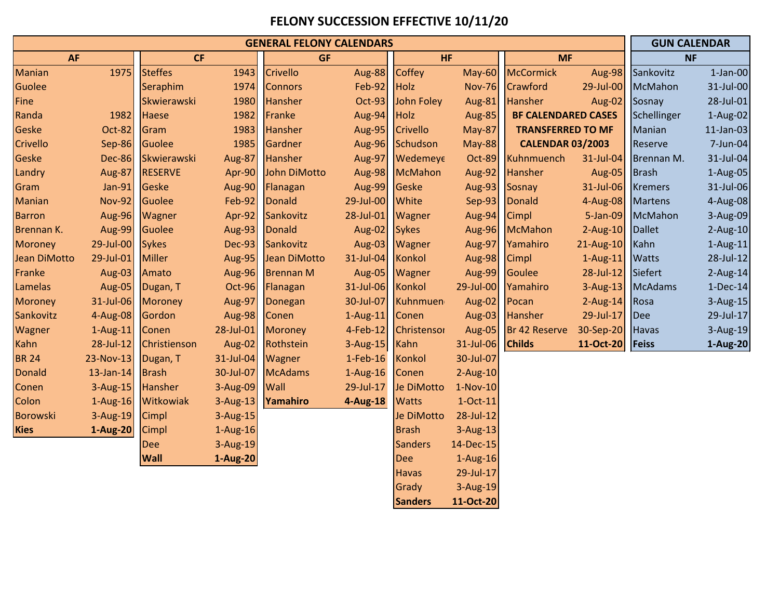## **FELONY SUCCESSION EFFECTIVE 10/11/20**

| <b>GENERAL FELONY CALENDARS</b> |               |                |               |                  |               |                 |               |                            |               |                | <b>GUN CALENDAR</b> |  |
|---------------------------------|---------------|----------------|---------------|------------------|---------------|-----------------|---------------|----------------------------|---------------|----------------|---------------------|--|
| <b>AF</b>                       |               | <b>CF</b>      |               | <b>GF</b>        |               | <b>HF</b>       |               | <b>MF</b>                  |               | <b>NF</b>      |                     |  |
| Manian                          | 1975          | <b>Steffes</b> | 1943          | <b>Crivello</b>  | <b>Aug-88</b> | <b>Coffey</b>   | $May-60$      | <b>McCormick</b>           | Aug-98        | Sankovitz      | $1$ -Jan-00         |  |
| Guolee                          |               | Seraphim       | 1974          | <b>Connors</b>   | <b>Feb-92</b> | <b>Holz</b>     | <b>Nov-76</b> | Crawford                   | 29-Jul-00     | McMahon        | 31-Jul-00           |  |
| Fine                            |               | Skwierawski    | 1980          | <b>Hansher</b>   | <b>Oct-93</b> | John Foley      | Aug-81        | <b>Hansher</b>             | Aug-02        | Sosnay         | 28-Jul-01           |  |
| Randa                           | 1982          | Haese          | 1982          | Franke           | Aug-94        | <b>Holz</b>     | <b>Aug-85</b> | <b>BF CALENDARED CASES</b> |               | Schellinger    | $1-Aug-02$          |  |
| Geske                           | Oct-82        | Gram           | 1983          | <b>Hansher</b>   | <b>Aug-95</b> | <b>Crivello</b> | <b>May-87</b> | <b>TRANSFERRED TO MF</b>   |               | Manian         | $11$ -Jan-03        |  |
| Crivello                        | <b>Sep-86</b> | Guolee         | 1985          | Gardner          | <b>Aug-96</b> | Schudson        | <b>May-88</b> | <b>CALENDAR 03/2003</b>    |               | Reserve        | 7-Jun-04            |  |
| Geske                           | <b>Dec-86</b> | Skwierawski    | Aug-87        | Hansher          | <b>Aug-97</b> | Wedemeye        | <b>Oct-89</b> | Kuhnmuench                 | 31-Jul-04     | Brennan M.     | 31-Jul-04           |  |
| Landry                          | <b>Aug-87</b> | <b>RESERVE</b> | Apr-90        | John DiMotto     | <b>Aug-98</b> | <b>McMahon</b>  | <b>Aug-92</b> | Hansher                    | <b>Aug-05</b> | <b>Brash</b>   | $1-Aug-05$          |  |
| Gram                            | <b>Jan-91</b> | Geske          | <b>Aug-90</b> | Flanagan         | <b>Aug-99</b> | Geske           | <b>Aug-93</b> | Sosnay                     | 31-Jul-06     | <b>Kremers</b> | 31-Jul-06           |  |
| Manian                          | <b>Nov-92</b> | Guolee         | <b>Feb-92</b> | <b>Donald</b>    | 29-Jul-00     | White           | <b>Sep-93</b> | <b>Donald</b>              | 4-Aug-08      | <b>Martens</b> | 4-Aug-08            |  |
| <b>Barron</b>                   | <b>Aug-96</b> | Wagner         | Apr-92        | Sankovitz        | 28-Jul-01     | Wagner          | <b>Aug-94</b> | <b>Cimpl</b>               | 5-Jan-09      | <b>McMahon</b> | 3-Aug-09            |  |
| Brennan K.                      | Aug-99        | Guolee         | Aug-93        | <b>Donald</b>    | <b>Aug-02</b> | <b>Sykes</b>    |               | Aug-96 McMahon             | $2$ -Aug-10   | <b>Dallet</b>  | $2$ -Aug-10         |  |
| <b>Moroney</b>                  | 29-Jul-00     | <b>Sykes</b>   | <b>Dec-93</b> | Sankovitz        | <b>Aug-03</b> | Wagner          | <b>Aug-97</b> | Yamahiro                   | 21-Aug-10     | Kahn           | $1-Aug-11$          |  |
| Jean DiMotto                    | 29-Jul-01     | <b>Miller</b>  | Aug-95        | Jean DiMotto     | 31-Jul-04     | <b>Konkol</b>   | Aug-98        | <b>Cimpl</b>               | $1-Aug-11$    | <b>Watts</b>   | 28-Jul-12           |  |
| Franke                          | Aug-03        | Amato          | <b>Aug-96</b> | <b>Brennan M</b> | <b>Aug-05</b> | Wagner          |               | Aug-99 Goulee              | 28-Jul-12     | Siefert        | $2$ -Aug-14         |  |
| Lamelas                         | Aug-05        | Dugan, T       | Oct-96        | Flanagan         | 31-Jul-06     | Konkol          | 29-Jul-00     | Yamahiro                   | $3$ -Aug-13   | <b>McAdams</b> | $1-Dec-14$          |  |
| <b>Moroney</b>                  | 31-Jul-06     | <b>Moroney</b> | Aug-97        | Donegan          | 30-Jul-07     | Kuhnmuen        | <b>Aug-02</b> | Pocan                      | $2$ -Aug-14   | Rosa           | 3-Aug-15            |  |
| Sankovitz                       | 4-Aug-08      | Gordon         | <b>Aug-98</b> | Conen            | $1-Aug-11$    | Conen           | Aug-03        | Hansher                    | 29-Jul-17     | <b>Dee</b>     | 29-Jul-17           |  |
| Wagner                          | $1-Aug-11$    | Conen          | 28-Jul-01     | Moroney          | $4$ -Feb-12   | Christensor     |               | Aug-05 Br 42 Reserve       | 30-Sep-20     | <b>Havas</b>   | 3-Aug-19            |  |
| Kahn                            | 28-Jul-12     | Christienson   | Aug-02        | Rothstein        | $3$ -Aug-15   | Kahn            | 31-Jul-06     | <b>Childs</b>              | 11-Oct-20     | <b>Feiss</b>   | 1-Aug-20            |  |
| <b>BR 24</b>                    | 23-Nov-13     | Dugan, T       | 31-Jul-04     | Wagner           | $1$ -Feb-16   | <b>Konkol</b>   | 30-Jul-07     |                            |               |                |                     |  |
| <b>Donald</b>                   | $13$ -Jan-14  | <b>Brash</b>   | 30-Jul-07     | <b>McAdams</b>   | $1-Aug-16$    | Conen           | $2-Aug-10$    |                            |               |                |                     |  |
| Conen                           | $3-Aug-15$    | <b>Hansher</b> | 3-Aug-09      | Wall             | 29-Jul-17     | Je DiMotto      | $1-Nov-10$    |                            |               |                |                     |  |
| Colon                           | $1-Aug-16$    | Witkowiak      | $3-Aug-13$    | Yamahiro         | 4-Aug-18      | <b>Watts</b>    | $1-Oct-11$    |                            |               |                |                     |  |
| <b>Borowski</b>                 | $3-Aug-19$    | <b>Cimpl</b>   | 3-Aug-15      |                  |               | Je DiMotto      | 28-Jul-12     |                            |               |                |                     |  |
| <b>Kies</b>                     | 1-Aug-20      | Cimpl          | $1-Aug-16$    |                  |               | <b>Brash</b>    | $3-Aug-13$    |                            |               |                |                     |  |
|                                 |               | <b>Dee</b>     | 3-Aug-19      |                  |               | <b>Sanders</b>  | 14-Dec-15     |                            |               |                |                     |  |
|                                 |               | <b>Wall</b>    | 1-Aug-20      |                  |               | <b>Dee</b>      | $1-Aug-16$    |                            |               |                |                     |  |
|                                 |               |                |               |                  |               | <b>Havas</b>    | 29-Jul-17     |                            |               |                |                     |  |
|                                 |               |                |               |                  |               | Grady           | 3-Aug-19      |                            |               |                |                     |  |
|                                 |               |                |               |                  |               | <b>Sanders</b>  | 11-Oct-20     |                            |               |                |                     |  |

**Sanders 11-Oct-20**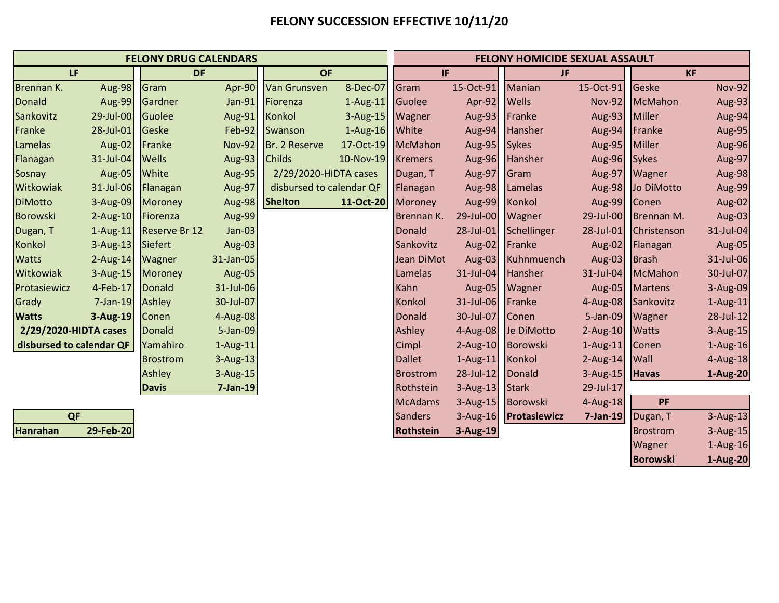## **FELONY SUCCESSION EFFECTIVE 10/11/20**

| <b>FELONY DRUG CALENDARS</b> |                  |                      |               |                          |                   | <b>FELONY HOMICIDE SEXUAL ASSAULT</b> |                   |                       |               |                    |               |
|------------------------------|------------------|----------------------|---------------|--------------------------|-------------------|---------------------------------------|-------------------|-----------------------|---------------|--------------------|---------------|
| LF                           |                  | <b>DF</b>            |               | <b>OF</b>                |                   | IF.                                   |                   | JF.                   |               | <b>KF</b>          |               |
| Brennan K.                   | <b>Aug-98</b>    | Gram                 | Apr-90        | <b>Van Grunsven</b>      | 8-Dec-07          | Gram                                  | 15-Oct-91         | Manian                | 15-Oct-91     | Geske              | <b>Nov-92</b> |
| <b>Donald</b>                | Aug-99           | Gardner              | Jan-91        | Fiorenza                 | $1-Aug-11$        | <b>Guolee</b>                         | Apr-92 Wells      |                       | <b>Nov-92</b> | <b>McMahon</b>     | Aug-93        |
| Sankovitz                    | 29-Jul-00        | Guolee               | Aug-91        | Konkol                   | 3-Aug-15          | Wagner                                | Aug-93 Franke     |                       | Aug-93        | Miller             | Aug-94        |
| Franke                       | 28-Jul-01        | Geske                | <b>Feb-92</b> | Swanson                  | 1-Aug-16 White    |                                       |                   | Aug-94 Hansher        | Aug-94        | Franke             | Aug-95        |
| Lamelas                      | Aug-02           | Franke               | <b>Nov-92</b> | Br. 2 Reserve            | 17-Oct-19 McMahon |                                       | Aug-95 Sykes      |                       | Aug-95        | Miller             | Aug-96        |
| Flanagan                     | 31-Jul-04        | <b>Wells</b>         | Aug-93        | <b>Childs</b>            | 10-Nov-19         | <b>Kremers</b>                        |                   | Aug-96 Hansher        | Aug-96        | <b>Sykes</b>       | Aug-97        |
| Sosnay                       | <b>Aug-05</b>    | White                | Aug-95        | 2/29/2020-HIDTA cases    |                   | Dugan, T                              | Aug-97            | Gram                  | Aug-97        | Wagner             | Aug-98        |
| Witkowiak                    | 31-Jul-06        | Flanagan             | Aug-97        | disbursed to calendar QF |                   | Flanagan                              |                   | Aug-98 Lamelas        | Aug-98        | Jo DiMotto         | Aug-99        |
| <b>DiMotto</b>               | 3-Aug-09         | <b>Moroney</b>       | <b>Aug-98</b> | <b>Shelton</b>           | 11-Oct-20         | Moroney                               | Aug-99 Konkol     |                       | Aug-99        | Conen              | Aug-02        |
| <b>Borowski</b>              | $2$ -Aug-10      | Fiorenza             | Aug-99        |                          |                   | Brennan K.                            | 29-Jul-00 Wagner  |                       | 29-Jul-00     | Brennan M.         | Aug-03        |
| Dugan, T                     | $1-Aug-11$       | <b>Reserve Br 12</b> | $Jan-03$      |                          |                   | Donald                                |                   | 28-Jul-01 Schellinger | 28-Jul-01     | <b>Christenson</b> | 31-Jul-04     |
| Konkol                       | 3-Aug-13 Siefert |                      | <b>Aug-03</b> |                          |                   | Sankovitz                             | Aug-02 Franke     |                       | Aug-02        | Flanagan           | Aug-05        |
| <b>Watts</b>                 | 2-Aug-14 Wagner  |                      | 31-Jan-05     |                          |                   | Jean DiMot                            |                   | Aug-03 Kuhnmuench     | Aug-03        | <b>Brash</b>       | 31-Jul-06     |
| Witkowiak                    | 3-Aug-15 Moroney |                      | Aug-05        |                          |                   | Lamelas                               | 31-Jul-04 Hansher |                       | 31-Jul-04     | McMahon            | 30-Jul-07     |
| Protasiewicz                 | 4-Feb-17         | <b>Donald</b>        | 31-Jul-06     |                          |                   | Kahn                                  |                   | Aug-05 Wagner         | Aug-05        | <b>Martens</b>     | 3-Aug-09      |
| Grady                        | $7$ -Jan-19      | Ashley               | 30-Jul-07     |                          |                   | Konkol                                | 31-Jul-06 Franke  |                       | 4-Aug-08      | Sankovitz          | 1-Aug-11      |
| <b>Watts</b>                 | $3$ -Aug-19      | Conen                | 4-Aug-08      |                          |                   | Donald                                | 30-Jul-07 Conen   |                       | 5-Jan-09      | Wagner             | 28-Jul-12     |
| 2/29/2020-HIDTA cases        |                  | <b>Donald</b>        | 5-Jan-09      |                          |                   | Ashley                                |                   | 4-Aug-08 Je DiMotto   | $2-Aug-10$    | <b>Watts</b>       | $3$ -Aug-15   |
| disbursed to calendar QF     |                  | Yamahiro             | $1-Aug-11$    |                          |                   | Cimpl                                 | 2-Aug-10 Borowski |                       | $1-Aug-11$    | Conen              | $1-Aug-16$    |
|                              |                  | <b>Brostrom</b>      | 3-Aug-13      |                          |                   | <b>Dallet</b>                         | 1-Aug-11 Konkol   |                       | $2$ -Aug-14   | Wall               | $4$ -Aug-18   |
|                              |                  | Ashley               | 3-Aug-15      |                          |                   | <b>Brostrom</b>                       | 28-Jul-12 Donald  |                       | $3-Aug-15$    | <b>Havas</b>       | 1-Aug-20      |
|                              |                  | <b>Davis</b>         | $7$ -Jan-19   |                          |                   | Rothstein                             | 3-Aug-13 Stark    |                       | 29-Jul-17     |                    |               |
|                              |                  |                      |               |                          |                   | <b>McAdams</b>                        | 3-Aug-15 Borowski |                       | 4-Aug-18      | PF                 |               |
| QF                           |                  |                      |               |                          |                   | <b>Sanders</b>                        |                   | 3-Aug-16 Protasiewicz | 7-Jan-19      | Dugan, T           | $3-Aug-13$    |
| Hanrahan                     | 29-Feb-20        |                      |               |                          |                   | <b>Rothstein</b>                      | 3-Aug-19          |                       |               | <b>Brostrom</b>    | $3$ -Aug-15   |

Wagner 1-Aug-16 **Borowski 1-Aug-20**